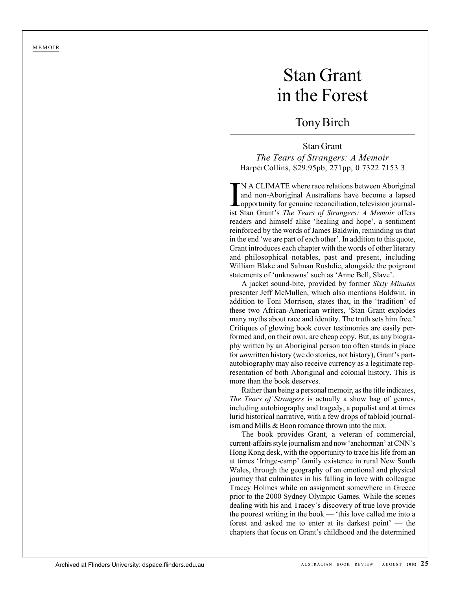MEMOIR

## Stan Grant in the Forest

## Tony Birch

## Stan Grant *The Tears of Strangers: A Memoir* HarperCollins, \$29.95pb, 271pp, 0 7322 7153 3

IN A CLIMATE where race relations between Aboriginal<br>and non-Aboriginal Australians have become a lapsed<br>opportunity for genuine reconciliation, television journal-<br>ist Stan Grant's *The Tears of Strangers: A Memoir* offer N A CLIMATE where race relations between Aboriginal and non-Aboriginal Australians have become a lapsed opportunity for genuine reconciliation, television journalreaders and himself alike 'healing and hope', a sentiment reinforced by the words of James Baldwin, reminding us that in the end 'we are part of each other'. In addition to this quote, Grant introduces each chapter with the words of other literary and philosophical notables, past and present, including William Blake and Salman Rushdie, alongside the poignant statements of 'unknowns' such as 'Anne Bell, Slave'.

A jacket sound-bite, provided by former *Sixty Minutes* presenter Jeff McMullen, which also mentions Baldwin, in addition to Toni Morrison, states that, in the 'tradition' of these two African-American writers, 'Stan Grant explodes many myths about race and identity. The truth sets him free.' Critiques of glowing book cover testimonies are easily performed and, on their own, are cheap copy. But, as any biography written by an Aboriginal person too often stands in place for *un*written history (we do stories, not history), Grant's partautobiography may also receive currency as a legitimate representation of both Aboriginal and colonial history. This is more than the book deserves.

Rather than being a personal memoir, as the title indicates, *The Tears of Strangers* is actually a show bag of genres, including autobiography and tragedy, a populist and at times lurid historical narrative, with a few drops of tabloid journalism and Mills & Boon romance thrown into the mix.

The book provides Grant, a veteran of commercial, current-affairs style journalism and now 'anchorman' at CNN's Hong Kong desk, with the opportunity to trace his life from an at times 'fringe-camp' family existence in rural New South Wales, through the geography of an emotional and physical journey that culminates in his falling in love with colleague Tracey Holmes while on assignment somewhere in Greece prior to the 2000 Sydney Olympic Games. While the scenes dealing with his and Tracey's discovery of true love provide the poorest writing in the book — 'this love called me into a forest and asked me to enter at its darkest point' — the chapters that focus on Grant's childhood and the determined